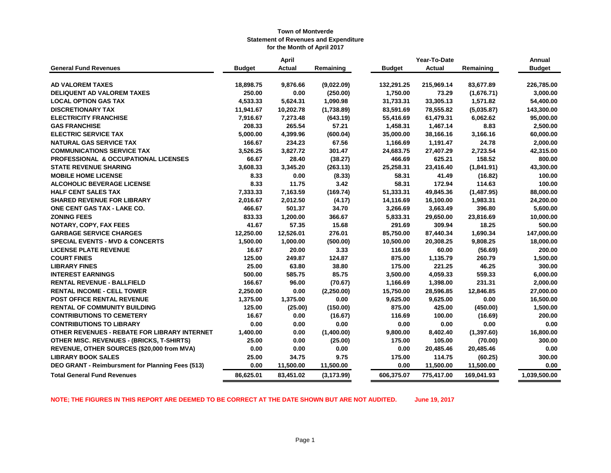|                                                  | <b>April</b>  |           |             |  |               | Year-To-Date  |            | Annual        |
|--------------------------------------------------|---------------|-----------|-------------|--|---------------|---------------|------------|---------------|
| <b>General Fund Revenues</b>                     | <b>Budget</b> | Actual    | Remaining   |  | <b>Budget</b> | <b>Actual</b> | Remaining  | <b>Budget</b> |
| <b>AD VALOREM TAXES</b>                          | 18,898.75     | 9,876.66  | (9,022.09)  |  | 132,291.25    | 215,969.14    | 83,677.89  | 226,785.00    |
| <b>DELIQUENT AD VALOREM TAXES</b>                | 250.00        | 0.00      | (250.00)    |  | 1,750.00      | 73.29         | (1,676.71) | 3,000.00      |
| <b>LOCAL OPTION GAS TAX</b>                      | 4,533.33      | 5,624.31  | 1,090.98    |  | 31,733.31     | 33,305.13     | 1,571.82   | 54,400.00     |
| <b>DISCRETIONARY TAX</b>                         | 11,941.67     | 10,202.78 | (1,738.89)  |  | 83,591.69     | 78,555.82     | (5,035.87) | 143,300.00    |
| <b>ELECTRICITY FRANCHISE</b>                     | 7,916.67      | 7,273.48  | (643.19)    |  | 55,416.69     | 61,479.31     | 6,062.62   | 95,000.00     |
| <b>GAS FRANCHISE</b>                             | 208.33        | 265.54    | 57.21       |  | 1,458.31      | 1,467.14      | 8.83       | 2,500.00      |
| <b>ELECTRIC SERVICE TAX</b>                      | 5,000.00      | 4,399.96  | (600.04)    |  | 35,000.00     | 38,166.16     | 3,166.16   | 60,000.00     |
| <b>NATURAL GAS SERVICE TAX</b>                   | 166.67        | 234.23    | 67.56       |  | 1,166.69      | 1,191.47      | 24.78      | 2,000.00      |
| <b>COMMUNICATIONS SERVICE TAX</b>                | 3,526.25      | 3,827.72  | 301.47      |  | 24,683.75     | 27,407.29     | 2,723.54   | 42,315.00     |
| <b>PROFESSIONAL &amp; OCCUPATIONAL LICENSES</b>  | 66.67         | 28.40     | (38.27)     |  | 466.69        | 625.21        | 158.52     | 800.00        |
| <b>STATE REVENUE SHARING</b>                     | 3,608.33      | 3,345.20  | (263.13)    |  | 25,258.31     | 23,416.40     | (1,841.91) | 43,300.00     |
| <b>MOBILE HOME LICENSE</b>                       | 8.33          | 0.00      | (8.33)      |  | 58.31         | 41.49         | (16.82)    | 100.00        |
| <b>ALCOHOLIC BEVERAGE LICENSE</b>                | 8.33          | 11.75     | 3.42        |  | 58.31         | 172.94        | 114.63     | 100.00        |
| <b>HALF CENT SALES TAX</b>                       | 7,333.33      | 7,163.59  | (169.74)    |  | 51,333.31     | 49,845.36     | (1,487.95) | 88,000.00     |
| <b>SHARED REVENUE FOR LIBRARY</b>                | 2,016.67      | 2,012.50  | (4.17)      |  | 14,116.69     | 16,100.00     | 1,983.31   | 24,200.00     |
| ONE CENT GAS TAX - LAKE CO.                      | 466.67        | 501.37    | 34.70       |  | 3,266.69      | 3,663.49      | 396.80     | 5,600.00      |
| <b>ZONING FEES</b>                               | 833.33        | 1,200.00  | 366.67      |  | 5,833.31      | 29,650.00     | 23,816.69  | 10,000.00     |
| NOTARY, COPY, FAX FEES                           | 41.67         | 57.35     | 15.68       |  | 291.69        | 309.94        | 18.25      | 500.00        |
| <b>GARBAGE SERVICE CHARGES</b>                   | 12,250.00     | 12,526.01 | 276.01      |  | 85,750.00     | 87,440.34     | 1,690.34   | 147,000.00    |
| <b>SPECIAL EVENTS - MVD &amp; CONCERTS</b>       | 1,500.00      | 1,000.00  | (500.00)    |  | 10,500.00     | 20,308.25     | 9,808.25   | 18,000.00     |
| <b>LICENSE PLATE REVENUE</b>                     | 16.67         | 20.00     | 3.33        |  | 116.69        | 60.00         | (56.69)    | 200.00        |
| <b>COURT FINES</b>                               | 125.00        | 249.87    | 124.87      |  | 875.00        | 1,135.79      | 260.79     | 1,500.00      |
| <b>LIBRARY FINES</b>                             | 25.00         | 63.80     | 38.80       |  | 175.00        | 221.25        | 46.25      | 300.00        |
| <b>INTEREST EARNINGS</b>                         | 500.00        | 585.75    | 85.75       |  | 3,500.00      | 4,059.33      | 559.33     | 6,000.00      |
| <b>RENTAL REVENUE - BALLFIELD</b>                | 166.67        | 96.00     | (70.67)     |  | 1,166.69      | 1,398.00      | 231.31     | 2,000.00      |
| <b>RENTAL INCOME - CELL TOWER</b>                | 2,250.00      | 0.00      | (2,250.00)  |  | 15,750.00     | 28,596.85     | 12,846.85  | 27,000.00     |
| POST OFFICE RENTAL REVENUE                       | 1,375.00      | 1,375.00  | 0.00        |  | 9,625.00      | 9,625.00      | 0.00       | 16,500.00     |
| <b>RENTAL OF COMMUNITY BUILDING</b>              | 125.00        | (25.00)   | (150.00)    |  | 875.00        | 425.00        | (450.00)   | 1,500.00      |
| <b>CONTRIBUTIONS TO CEMETERY</b>                 | 16.67         | 0.00      | (16.67)     |  | 116.69        | 100.00        | (16.69)    | 200.00        |
| <b>CONTRIBUTIONS TO LIBRARY</b>                  | 0.00          | 0.00      | 0.00        |  | 0.00          | 0.00          | 0.00       | 0.00          |
| OTHER REVENUES - REBATE FOR LIBRARY INTERNET     | 1,400.00      | 0.00      | (1,400.00)  |  | 9,800.00      | 8,402.40      | (1,397.60) | 16,800.00     |
| <b>OTHER MISC. REVENUES - (BRICKS, T-SHIRTS)</b> | 25.00         | 0.00      | (25.00)     |  | 175.00        | 105.00        | (70.00)    | 300.00        |
| REVENUE, OTHER SOURCES (\$20,000 from MVA)       | 0.00          | 0.00      | 0.00        |  | 0.00          | 20,485.46     | 20,485.46  | 0.00          |
| <b>LIBRARY BOOK SALES</b>                        | 25.00         | 34.75     | 9.75        |  | 175.00        | 114.75        | (60.25)    | 300.00        |
| DEO GRANT - Reimbursment for Planning Fees (513) | 0.00          | 11,500.00 | 11,500.00   |  | 0.00          | 11,500.00     | 11,500.00  | 0.00          |
| <b>Total General Fund Revenues</b>               | 86,625.01     | 83,451.02 | (3, 173.99) |  | 606,375.07    | 775,417.00    | 169,041.93 | 1,039,500.00  |

**NOTE; THE FIGURES IN THIS REPORT ARE DEEMED TO BE CORRECT AT THE DATE SHOWN BUT ARE NOT AUDITED. June 19, 2017**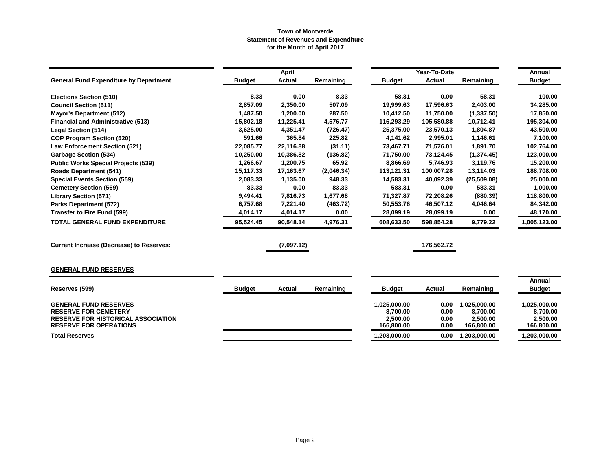|                                                                            |               | <b>April</b>  |            |                        | Year-To-Date  |                        | Annual                 |
|----------------------------------------------------------------------------|---------------|---------------|------------|------------------------|---------------|------------------------|------------------------|
| <b>General Fund Expenditure by Department</b>                              | <b>Budget</b> | <b>Actual</b> | Remaining  | <b>Budget</b>          | <b>Actual</b> | Remaining              | <b>Budget</b>          |
| <b>Elections Section (510)</b>                                             | 8.33          | 0.00          | 8.33       | 58.31                  | 0.00          | 58.31                  | 100.00                 |
| <b>Council Section (511)</b>                                               | 2,857.09      | 2,350.00      | 507.09     | 19,999.63              | 17,596.63     | 2,403.00               | 34,285.00              |
| <b>Mayor's Department (512)</b>                                            | 1,487.50      | 1,200.00      | 287.50     | 10,412.50              | 11,750.00     | (1,337.50)             | 17,850.00              |
| <b>Financial and Administrative (513)</b>                                  | 15,802.18     | 11,225.41     | 4,576.77   | 116,293.29             | 105,580.88    | 10,712.41              | 195,304.00             |
| <b>Legal Section (514)</b>                                                 | 3,625.00      | 4,351.47      | (726.47)   | 25.375.00              | 23,570.13     | 1,804.87               | 43,500.00              |
| <b>COP Program Section (520)</b>                                           | 591.66        | 365.84        | 225.82     | 4.141.62               | 2,995.01      | 1,146.61               | 7,100.00               |
| <b>Law Enforcement Section (521)</b>                                       | 22,085.77     | 22,116.88     | (31.11)    | 73,467.71              | 71,576.01     | 1,891.70               | 102,764.00             |
| <b>Garbage Section (534)</b>                                               | 10,250.00     | 10,386.82     | (136.82)   | 71,750.00              | 73,124.45     | (1,374.45)             | 123,000.00             |
| <b>Public Works Special Projects (539)</b>                                 | 1,266.67      | 1,200.75      | 65.92      | 8,866.69               | 5,746.93      | 3,119.76               | 15,200.00              |
| <b>Roads Department (541)</b>                                              | 15,117.33     | 17,163.67     | (2,046.34) | 113,121.31             | 100,007.28    | 13,114.03              | 188,708.00             |
| <b>Special Events Section (559)</b>                                        | 2,083.33      | 1,135.00      | 948.33     | 14,583.31              | 40,092.39     | (25,509.08)            | 25,000.00              |
| <b>Cemetery Section (569)</b>                                              | 83.33         | 0.00          | 83.33      | 583.31                 | 0.00          | 583.31                 | 1,000.00               |
| <b>Library Section (571)</b>                                               | 9,494.41      | 7,816.73      | 1,677.68   | 71,327.87              | 72,208.26     | (880.39)               | 118,800.00             |
| <b>Parks Department (572)</b>                                              | 6,757.68      | 7,221.40      | (463.72)   | 50,553.76              | 46,507.12     | 4,046.64               | 84,342.00              |
| <b>Transfer to Fire Fund (599)</b>                                         | 4,014.17      | 4,014.17      | 0.00       | 28,099.19              | 28,099.19     | 0.00                   | 48,170.00              |
| <b>TOTAL GENERAL FUND EXPENDITURE</b>                                      | 95,524.45     | 90,548.14     | 4,976.31   | 608,633.50             | 598,854.28    | 9,779.22               | 1,005,123.00           |
| <b>Current Increase (Decrease) to Reserves:</b>                            |               | (7,097.12)    |            |                        | 176,562.72    |                        |                        |
| <b>GENERAL FUND RESERVES</b>                                               |               |               |            |                        |               |                        |                        |
|                                                                            |               |               |            |                        |               |                        | <b>Annual</b>          |
| Reserves (599)                                                             | <b>Budget</b> | <b>Actual</b> | Remaining  | <b>Budget</b>          | Actual        | Remaining              | <b>Budget</b>          |
| <b>GENERAL FUND RESERVES</b>                                               |               |               |            | 1,025,000.00           | 0.00          | 1,025,000.00           | 1,025,000.00           |
| <b>RESERVE FOR CEMETERY</b>                                                |               |               |            | 8,700.00               | 0.00          | 8,700.00               | 8,700.00               |
| <b>RESERVE FOR HISTORICAL ASSOCIATION</b><br><b>RESERVE FOR OPERATIONS</b> |               |               |            | 2.500.00<br>166,800.00 | 0.00<br>0.00  | 2,500.00<br>166,800.00 | 2.500.00<br>166,800.00 |
| <b>Total Reserves</b>                                                      |               |               |            | 1,203,000.00           | 0.00          | 1,203,000.00           | 1,203,000.00           |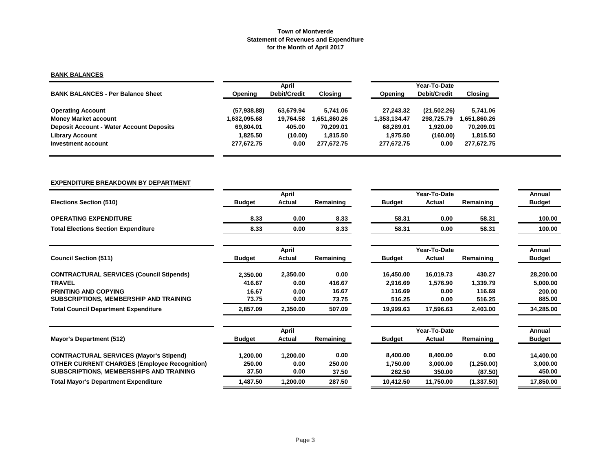# **BANK BALANCES**

|                                                 |              | April               |              | Year-To-Date |                     |              |  |  |
|-------------------------------------------------|--------------|---------------------|--------------|--------------|---------------------|--------------|--|--|
| <b>BANK BALANCES - Per Balance Sheet</b>        | Opening      | <b>Debit/Credit</b> | Closing      | Opening      | <b>Debit/Credit</b> | Closing      |  |  |
| <b>Operating Account</b>                        | (57, 938.88) | 63.679.94           | 5.741.06     | 27.243.32    | (21,502.26)         | 5,741.06     |  |  |
| <b>Money Market account</b>                     | 1,632,095.68 | 19.764.58           | 1.651.860.26 | 1.353.134.47 | 298.725.79          | 1,651,860.26 |  |  |
| <b>Deposit Account - Water Account Deposits</b> | 69.804.01    | 405.00              | 70.209.01    | 68.289.01    | 1.920.00            | 70,209.01    |  |  |
| <b>Library Account</b>                          | 1.825.50     | (10.00)             | 1.815.50     | 1.975.50     | (160.00)            | 1,815.50     |  |  |
| Investment account                              | 277,672.75   | 0.00                | 277,672.75   | 277,672.75   | 0.00                | 277,672.75   |  |  |

## **EXPENDITURE BREAKDOWN BY DEPARTMENT**

|                                                     |               | <b>April</b>  |           |               | Year-To-Date |            | Annual        |
|-----------------------------------------------------|---------------|---------------|-----------|---------------|--------------|------------|---------------|
| <b>Elections Section (510)</b>                      | <b>Budget</b> | <b>Actual</b> | Remaining | <b>Budget</b> | Actual       | Remaining  | <b>Budget</b> |
| <b>OPERATING EXPENDITURE</b>                        | 8.33          | 0.00          | 8.33      | 58.31         | 0.00         | 58.31      | 100.00        |
| <b>Total Elections Section Expenditure</b>          | 8.33          | 0.00          | 8.33      | 58.31         | 0.00         | 58.31      | 100.00        |
|                                                     |               | April         |           |               | Year-To-Date |            | Annual        |
| <b>Council Section (511)</b>                        | <b>Budget</b> | Actual        | Remaining | <b>Budget</b> | Actual       | Remaining  | <b>Budget</b> |
| <b>CONTRACTURAL SERVICES (Council Stipends)</b>     | 2,350.00      | 2,350.00      | 0.00      | 16,450.00     | 16,019.73    | 430.27     | 28,200.00     |
| <b>TRAVEL</b>                                       | 416.67        | 0.00          | 416.67    | 2,916.69      | 1,576.90     | 1,339.79   | 5,000.00      |
| <b>PRINTING AND COPYING</b>                         | 16.67         | 0.00          | 16.67     | 116.69        | 0.00         | 116.69     | 200.00        |
| SUBSCRIPTIONS, MEMBERSHIP AND TRAINING              | 73.75         | 0.00          | 73.75     | 516.25        | 0.00         | 516.25     | 885.00        |
| <b>Total Council Department Expenditure</b>         | 2,857.09      | 2,350.00      | 507.09    | 19,999.63     | 17,596.63    | 2,403.00   | 34,285.00     |
|                                                     |               | <b>April</b>  |           |               | Year-To-Date |            | Annual        |
| Mayor's Department (512)                            | <b>Budget</b> | Actual        | Remaining | <b>Budget</b> | Actual       | Remaining  | <b>Budget</b> |
| <b>CONTRACTURAL SERVICES (Mayor's Stipend)</b>      | 1,200.00      | 1,200.00      | 0.00      | 8,400.00      | 8,400.00     | 0.00       | 14,400.00     |
| <b>OTHER CURRENT CHARGES (Employee Recognition)</b> | 250.00        | 0.00          | 250.00    | 1,750.00      | 3,000.00     | (1,250.00) | 3,000.00      |
| <b>SUBSCRIPTIONS, MEMBERSHIPS AND TRAINING</b>      | 37.50         | 0.00          | 37.50     | 262.50        | 350.00       | (87.50)    | 450.00        |
| <b>Total Mayor's Department Expenditure</b>         | 1,487.50      | 1,200.00      | 287.50    | 10,412.50     | 11,750.00    | (1,337.50) | 17,850.00     |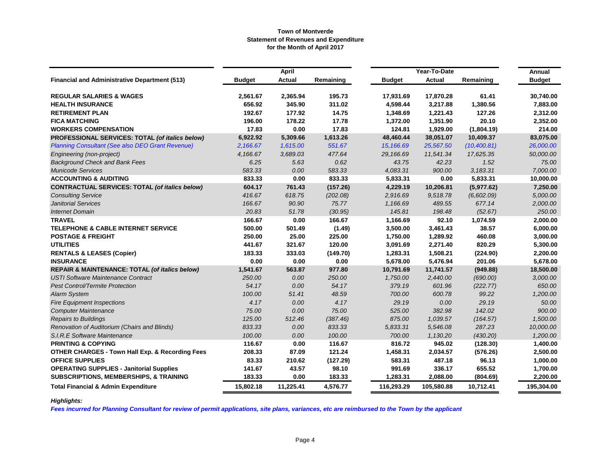|                                                            |               | <b>April</b>  |           |               | Year-To-Date  |              | Annual        |
|------------------------------------------------------------|---------------|---------------|-----------|---------------|---------------|--------------|---------------|
| <b>Financial and Administrative Department (513)</b>       | <b>Budget</b> | <b>Actual</b> | Remaining | <b>Budget</b> | <b>Actual</b> | Remaining    | <b>Budget</b> |
| <b>REGULAR SALARIES &amp; WAGES</b>                        | 2,561.67      | 2,365.94      | 195.73    | 17,931.69     | 17,870.28     | 61.41        | 30,740.00     |
| <b>HEALTH INSURANCE</b>                                    | 656.92        | 345.90        | 311.02    | 4,598.44      | 3,217.88      | 1,380.56     | 7,883.00      |
| <b>RETIREMENT PLAN</b>                                     | 192.67        | 177.92        | 14.75     | 1,348.69      | 1,221.43      | 127.26       | 2,312.00      |
| <b>FICA MATCHING</b>                                       | 196.00        | 178.22        | 17.78     | 1,372.00      | 1,351.90      | 20.10        | 2,352.00      |
| <b>WORKERS COMPENSATION</b>                                | 17.83         | 0.00          | 17.83     | 124.81        | 1,929.00      | (1,804.19)   | 214.00        |
| PROFESSIONAL SERVICES: TOTAL (of italics below)            | 6,922.92      | 5,309.66      | 1,613.26  | 48,460.44     | 38,051.07     | 10,409.37    | 83,075.00     |
| <b>Planning Consultant (See also DEO Grant Revenue)</b>    | 2,166.67      | 1,615.00      | 551.67    | 15,166.69     | 25,567.50     | (10, 400.81) | 26,000.00     |
| Engineering (non-project)                                  | 4,166.67      | 3,689.03      | 477.64    | 29,166.69     | 11,541.34     | 17,625.35    | 50,000.00     |
| <b>Background Check and Bank Fees</b>                      | 6.25          | 5.63          | 0.62      | 43.75         | 42.23         | 1.52         | 75.00         |
| <b>Municode Services</b>                                   | 583.33        | 0.00          | 583.33    | 4,083.31      | 900.00        | 3,183.31     | 7,000.00      |
| <b>ACCOUNTING &amp; AUDITING</b>                           | 833.33        | 0.00          | 833.33    | 5,833.31      | 0.00          | 5,833.31     | 10,000.00     |
| <b>CONTRACTUAL SERVICES: TOTAL (of italics below)</b>      | 604.17        | 761.43        | (157.26)  | 4,229.19      | 10,206.81     | (5,977.62)   | 7,250.00      |
| <b>Consulting Service</b>                                  | 416.67        | 618.75        | (202.08)  | 2,916.69      | 9,518.78      | (6,602.09)   | 5,000.00      |
| <b>Janitorial Services</b>                                 | 166.67        | 90.90         | 75.77     | 1,166.69      | 489.55        | 677.14       | 2,000.00      |
| <b>Internet Domain</b>                                     | 20.83         | 51.78         | (30.95)   | 145.81        | 198.48        | (52.67)      | 250.00        |
| <b>TRAVEL</b>                                              | 166.67        | 0.00          | 166.67    | 1,166.69      | 92.10         | 1,074.59     | 2,000.00      |
| <b>TELEPHONE &amp; CABLE INTERNET SERVICE</b>              | 500.00        | 501.49        | (1.49)    | 3,500.00      | 3,461.43      | 38.57        | 6,000.00      |
| <b>POSTAGE &amp; FREIGHT</b>                               | 250.00        | 25.00         | 225.00    | 1,750.00      | 1,289.92      | 460.08       | 3,000.00      |
| <b>UTILITIES</b>                                           | 441.67        | 321.67        | 120.00    | 3,091.69      | 2,271.40      | 820.29       | 5,300.00      |
| <b>RENTALS &amp; LEASES (Copier)</b>                       | 183.33        | 333.03        | (149.70)  | 1,283.31      | 1,508.21      | (224.90)     | 2,200.00      |
| <b>INSURANCE</b>                                           | 0.00          | 0.00          | 0.00      | 5,678.00      | 5,476.94      | 201.06       | 5,678.00      |
| <b>REPAIR &amp; MAINTENANCE: TOTAL (of italics below)</b>  | 1,541.67      | 563.87        | 977.80    | 10,791.69     | 11,741.57     | (949.88)     | 18,500.00     |
| <b>USTI Software Maintenance Contract</b>                  | 250.00        | 0.00          | 250.00    | 1,750.00      | 2,440.00      | (690.00)     | 3,000.00      |
| <b>Pest Control/Termite Protection</b>                     | 54.17         | 0.00          | 54.17     | 379.19        | 601.96        | (222.77)     | 650.00        |
| <b>Alarm System</b>                                        | 100.00        | 51.41         | 48.59     | 700.00        | 600.78        | 99.22        | 1,200.00      |
| <b>Fire Equipment Inspections</b>                          | 4.17          | 0.00          | 4.17      | 29.19         | 0.00          | 29.19        | 50.00         |
| <b>Computer Maintenance</b>                                | 75.00         | 0.00          | 75.00     | 525.00        | 382.98        | 142.02       | 900.00        |
| <b>Repairs to Buildings</b>                                | 125.00        | 512.46        | (387.46)  | 875.00        | 1.039.57      | (164.57)     | 1,500.00      |
| Renovation of Auditorium (Chairs and Blinds)               | 833.33        | 0.00          | 833.33    | 5,833.31      | 5,546.08      | 287.23       | 10,000.00     |
| S.I.R.E Software Maintenance                               | 100.00        | 0.00          | 100.00    | 700.00        | 1,130.20      | (430.20)     | 1,200.00      |
| <b>PRINTING &amp; COPYING</b>                              | 116.67        | 0.00          | 116.67    | 816.72        | 945.02        | (128.30)     | 1,400.00      |
| <b>OTHER CHARGES - Town Hall Exp. &amp; Recording Fees</b> | 208.33        | 87.09         | 121.24    | 1,458.31      | 2,034.57      | (576.26)     | 2,500.00      |
| <b>OFFICE SUPPLIES</b>                                     | 83.33         | 210.62        | (127.29)  | 583.31        | 487.18        | 96.13        | 1,000.00      |
| <b>OPERATING SUPPLIES - Janitorial Supplies</b>            | 141.67        | 43.57         | 98.10     | 991.69        | 336.17        | 655.52       | 1,700.00      |
| <b>SUBSCRIPTIONS, MEMBERSHIPS, &amp; TRAINING</b>          | 183.33        | 0.00          | 183.33    | 1,283.31      | 2,088.00      | (804.69)     | 2,200.00      |
| <b>Total Financial &amp; Admin Expenditure</b>             | 15,802.18     | 11,225.41     | 4,576.77  | 116,293.29    | 105,580.88    | 10,712.41    | 195,304.00    |

# *Highlights:*

*Fees incurred for Planning Consultant for review of permit applications, site plans, variances, etc are reimbursed to the Town by the applicant*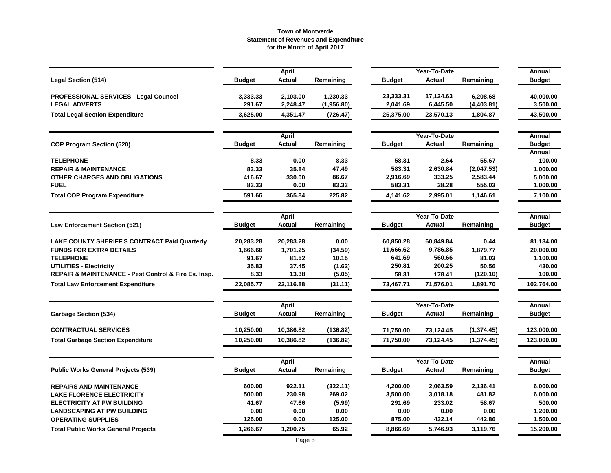|                                                      |               | <b>April</b>  |            |               | Year-To-Date  |             | Annual        |
|------------------------------------------------------|---------------|---------------|------------|---------------|---------------|-------------|---------------|
| <b>Legal Section (514)</b>                           | <b>Budget</b> | <b>Actual</b> | Remaining  | <b>Budget</b> | <b>Actual</b> | Remaining   | <b>Budget</b> |
| <b>PROFESSIONAL SERVICES - Legal Councel</b>         | 3,333.33      | 2,103.00      | 1,230.33   | 23,333.31     | 17,124.63     | 6,208.68    | 40,000.00     |
| <b>LEGAL ADVERTS</b>                                 | 291.67        | 2,248.47      | (1,956.80) | 2,041.69      | 6,445.50      | (4,403.81)  | 3,500.00      |
| <b>Total Legal Section Expenditure</b>               | 3,625.00      | 4,351.47      | (726.47)   | 25,375.00     | 23,570.13     | 1,804.87    | 43,500.00     |
|                                                      |               | April         |            |               | Year-To-Date  |             | Annual        |
| <b>COP Program Section (520)</b>                     | <b>Budget</b> | Actual        | Remaining  | <b>Budget</b> | <b>Actual</b> | Remaining   | <b>Budget</b> |
|                                                      |               |               |            |               |               |             | Annual        |
| <b>TELEPHONE</b>                                     | 8.33          | 0.00          | 8.33       | 58.31         | 2.64          | 55.67       | 100.00        |
| <b>REPAIR &amp; MAINTENANCE</b>                      | 83.33         | 35.84         | 47.49      | 583.31        | 2,630.84      | (2,047.53)  | 1,000.00      |
| OTHER CHARGES AND OBLIGATIONS                        | 416.67        | 330.00        | 86.67      | 2,916.69      | 333.25        | 2,583.44    | 5,000.00      |
| <b>FUEL</b>                                          | 83.33         | 0.00          | 83.33      | 583.31        | 28.28         | 555.03      | 1,000.00      |
| <b>Total COP Program Expenditure</b>                 | 591.66        | 365.84        | 225.82     | 4,141.62      | 2,995.01      | 1,146.61    | 7,100.00      |
|                                                      |               | <b>April</b>  |            |               | Year-To-Date  |             | <b>Annual</b> |
| <b>Law Enforcement Section (521)</b>                 | <b>Budget</b> | Actual        | Remaining  | Budget        | Actual        | Remaining   | <b>Budget</b> |
| <b>LAKE COUNTY SHERIFF'S CONTRACT Paid Quarterly</b> | 20,283.28     | 20,283.28     | 0.00       | 60,850.28     | 60,849.84     | 0.44        | 81,134.00     |
| <b>FUNDS FOR EXTRA DETAILS</b>                       | 1,666.66      | 1,701.25      | (34.59)    | 11,666.62     | 9,786.85      | 1,879.77    | 20,000.00     |
| <b>TELEPHONE</b>                                     | 91.67         | 81.52         | 10.15      | 641.69        | 560.66        | 81.03       | 1,100.00      |
| <b>UTILITIES - Electricity</b>                       | 35.83         | 37.45         | (1.62)     | 250.81        | 200.25        | 50.56       | 430.00        |
| REPAIR & MAINTENANCE - Pest Control & Fire Ex. Insp. | 8.33          | 13.38         | (5.05)     | 58.31         | 178.41        | (120.10)    | 100.00        |
| <b>Total Law Enforcement Expenditure</b>             | 22,085.77     | 22,116.88     | (31.11)    | 73,467.71     | 71,576.01     | 1,891.70    | 102,764.00    |
|                                                      |               | <b>April</b>  |            |               | Year-To-Date  |             | Annual        |
| <b>Garbage Section (534)</b>                         | <b>Budget</b> | Actual        | Remaining  | Budget        | Actual        | Remaining   | <b>Budget</b> |
| <b>CONTRACTUAL SERVICES</b>                          | 10,250.00     | 10,386.82     | (136.82)   | 71,750.00     | 73,124.45     | (1, 374.45) | 123,000.00    |
| <b>Total Garbage Section Expenditure</b>             | 10,250.00     | 10,386.82     | (136.82)   | 71,750.00     | 73,124.45     | (1, 374.45) | 123,000.00    |
|                                                      |               | April         |            |               | Year-To-Date  |             | Annual        |
| <b>Public Works General Projects (539)</b>           | <b>Budget</b> | Actual        | Remaining  | Budget        | Actual        | Remaining   | <b>Budget</b> |
| <b>REPAIRS AND MAINTENANCE</b>                       | 600.00        | 922.11        | (322.11)   | 4,200.00      | 2,063.59      | 2,136.41    | 6,000.00      |
| <b>LAKE FLORENCE ELECTRICITY</b>                     | 500.00        | 230.98        | 269.02     | 3,500.00      | 3,018.18      | 481.82      | 6,000.00      |
| <b>ELECTRICITY AT PW BUILDING</b>                    | 41.67         | 47.66         | (5.99)     | 291.69        | 233.02        | 58.67       | 500.00        |
| <b>LANDSCAPING AT PW BUILDING</b>                    | 0.00          | 0.00          | 0.00       | 0.00          | 0.00          | 0.00        | 1,200.00      |
| <b>OPERATING SUPPLIES</b>                            | 125.00        | 0.00          | 125.00     | 875.00        | 432.14        | 442.86      | 1,500.00      |
| <b>Total Public Works General Projects</b>           | 1,266.67      | 1,200.75      | 65.92      | 8,866.69      | 5,746.93      | 3,119.76    | 15,200.00     |
|                                                      |               |               |            |               |               |             |               |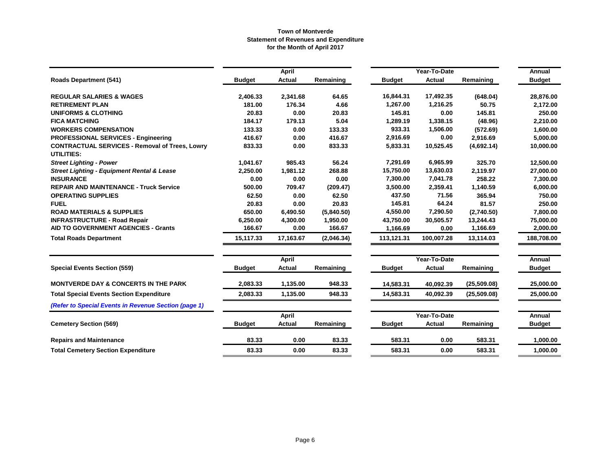|                                                                            |               | <b>April</b>  |            |               | Year-To-Date  |              | Annual        |
|----------------------------------------------------------------------------|---------------|---------------|------------|---------------|---------------|--------------|---------------|
| <b>Roads Department (541)</b>                                              | <b>Budget</b> | Actual        | Remaining  | <b>Budget</b> | Actual        | Remaining    | <b>Budget</b> |
| <b>REGULAR SALARIES &amp; WAGES</b>                                        | 2,406.33      | 2,341.68      | 64.65      | 16,844.31     | 17,492.35     | (648.04)     | 28,876.00     |
| <b>RETIREMENT PLAN</b>                                                     | 181.00        | 176.34        | 4.66       | 1,267.00      | 1,216.25      | 50.75        | 2,172.00      |
| <b>UNIFORMS &amp; CLOTHING</b>                                             | 20.83         | 0.00          | 20.83      | 145.81        | 0.00          | 145.81       | 250.00        |
| <b>FICA MATCHING</b>                                                       | 184.17        | 179.13        | 5.04       | 1,289.19      | 1,338.15      | (48.96)      | 2,210.00      |
| <b>WORKERS COMPENSATION</b>                                                | 133.33        | 0.00          | 133.33     | 933.31        | 1,506.00      | (572.69)     | 1,600.00      |
| <b>PROFESSIONAL SERVICES - Engineering</b>                                 | 416.67        | 0.00          | 416.67     | 2,916.69      | 0.00          | 2,916.69     | 5,000.00      |
| <b>CONTRACTUAL SERVICES - Removal of Trees, Lowry</b><br><b>UTILITIES:</b> | 833.33        | 0.00          | 833.33     | 5,833.31      | 10,525.45     | (4,692.14)   | 10,000.00     |
| <b>Street Lighting - Power</b>                                             | 1,041.67      | 985.43        | 56.24      | 7,291.69      | 6,965.99      | 325.70       | 12,500.00     |
| <b>Street Lighting - Equipment Rental &amp; Lease</b>                      | 2,250.00      | 1,981.12      | 268.88     | 15,750.00     | 13,630.03     | 2,119.97     | 27,000.00     |
| <b>INSURANCE</b>                                                           | 0.00          | 0.00          | 0.00       | 7,300.00      | 7,041.78      | 258.22       | 7,300.00      |
| <b>REPAIR AND MAINTENANCE - Truck Service</b>                              | 500.00        | 709.47        | (209.47)   | 3,500.00      | 2,359.41      | 1,140.59     | 6,000.00      |
| <b>OPERATING SUPPLIES</b>                                                  | 62.50         | 0.00          | 62.50      | 437.50        | 71.56         | 365.94       | 750.00        |
| <b>FUEL</b>                                                                | 20.83         | 0.00          | 20.83      | 145.81        | 64.24         | 81.57        | 250.00        |
| <b>ROAD MATERIALS &amp; SUPPLIES</b>                                       | 650.00        | 6,490.50      | (5,840.50) | 4,550.00      | 7,290.50      | (2,740.50)   | 7,800.00      |
| <b>INFRASTRUCTURE - Road Repair</b>                                        | 6,250.00      | 4,300.00      | 1,950.00   | 43,750.00     | 30,505.57     | 13,244.43    | 75,000.00     |
| <b>AID TO GOVERNMENT AGENCIES - Grants</b>                                 | 166.67        | 0.00          | 166.67     | 1,166.69      | 0.00          | 1,166.69     | 2,000.00      |
| <b>Total Roads Department</b>                                              | 15,117.33     | 17,163.67     | (2,046.34) | 113,121.31    | 100,007.28    | 13,114.03    | 188,708.00    |
|                                                                            |               | April         |            |               | Year-To-Date  |              | Annual        |
| <b>Special Events Section (559)</b>                                        | <b>Budget</b> | Actual        | Remaining  | <b>Budget</b> | <b>Actual</b> | Remaining    | <b>Budget</b> |
| <b>MONTVERDE DAY &amp; CONCERTS IN THE PARK</b>                            | 2,083.33      | 1,135.00      | 948.33     | 14,583.31     | 40,092.39     | (25, 509.08) | 25.000.00     |
| <b>Total Special Events Section Expenditure</b>                            | 2,083.33      | 1,135.00      | 948.33     | 14,583.31     | 40,092.39     | (25,509.08)  | 25,000.00     |
| (Refer to Special Events in Revenue Section (page 1)                       |               |               |            |               |               |              |               |
|                                                                            |               | <b>April</b>  |            |               | Year-To-Date  |              | Annual        |
| <b>Cemetery Section (569)</b>                                              | <b>Budget</b> | <b>Actual</b> | Remaining  | <b>Budget</b> | <b>Actual</b> | Remaining    | <b>Budget</b> |
| <b>Repairs and Maintenance</b>                                             | 83.33         | 0.00          | 83.33      | 583.31        | 0.00          | 583.31       | 1,000.00      |
| <b>Total Cemetery Section Expenditure</b>                                  | 83.33         | 0.00          | 83.33      | 583.31        | 0.00          | 583.31       | 1,000.00      |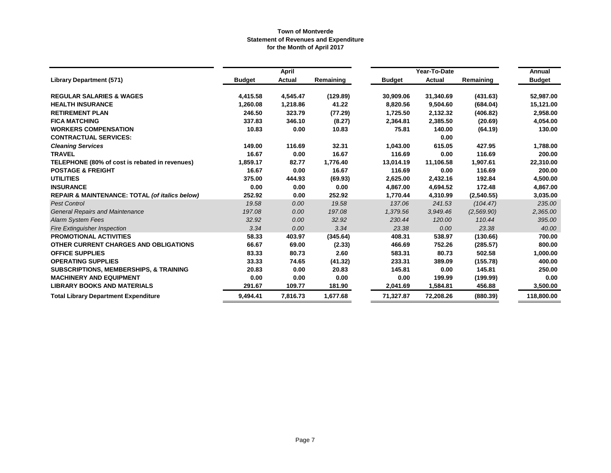|                                                           |               | April         |           |               | Year-To-Date |            | Annual        |
|-----------------------------------------------------------|---------------|---------------|-----------|---------------|--------------|------------|---------------|
| <b>Library Department (571)</b>                           | <b>Budget</b> | <b>Actual</b> | Remaining | <b>Budget</b> | Actual       | Remaining  | <b>Budget</b> |
| <b>REGULAR SALARIES &amp; WAGES</b>                       | 4,415.58      | 4,545.47      | (129.89)  | 30,909.06     | 31,340.69    | (431.63)   | 52,987.00     |
| <b>HEALTH INSURANCE</b>                                   | 1,260.08      | 1,218.86      | 41.22     | 8,820.56      | 9,504.60     | (684.04)   | 15,121.00     |
| <b>RETIREMENT PLAN</b>                                    | 246.50        | 323.79        | (77.29)   | 1,725.50      | 2,132.32     | (406.82)   | 2,958.00      |
| <b>FICA MATCHING</b>                                      | 337.83        | 346.10        | (8.27)    | 2,364.81      | 2,385.50     | (20.69)    | 4,054.00      |
| <b>WORKERS COMPENSATION</b>                               | 10.83         | 0.00          | 10.83     | 75.81         | 140.00       | (64.19)    | 130.00        |
| <b>CONTRACTUAL SERVICES:</b>                              |               |               |           |               | 0.00         |            |               |
| <b>Cleaning Services</b>                                  | 149.00        | 116.69        | 32.31     | 1,043.00      | 615.05       | 427.95     | 1,788.00      |
| <b>TRAVEL</b>                                             | 16.67         | 0.00          | 16.67     | 116.69        | 0.00         | 116.69     | 200.00        |
| TELEPHONE (80% of cost is rebated in revenues)            | 1,859.17      | 82.77         | 1,776.40  | 13,014.19     | 11,106.58    | 1,907.61   | 22,310.00     |
| <b>POSTAGE &amp; FREIGHT</b>                              | 16.67         | 0.00          | 16.67     | 116.69        | 0.00         | 116.69     | 200.00        |
| <b>UTILITIES</b>                                          | 375.00        | 444.93        | (69.93)   | 2,625.00      | 2,432.16     | 192.84     | 4,500.00      |
| <b>INSURANCE</b>                                          | 0.00          | 0.00          | 0.00      | 4,867.00      | 4,694.52     | 172.48     | 4,867.00      |
| <b>REPAIR &amp; MAINTENANCE: TOTAL (of italics below)</b> | 252.92        | 0.00          | 252.92    | 1,770.44      | 4,310.99     | (2,540.55) | 3,035.00      |
| <b>Pest Control</b>                                       | 19.58         | 0.00          | 19.58     | 137.06        | 241.53       | (104.47)   | 235.00        |
| <b>General Repairs and Maintenance</b>                    | 197.08        | 0.00          | 197.08    | 1,379.56      | 3,949.46     | (2,569.90) | 2,365.00      |
| <b>Alarm System Fees</b>                                  | 32.92         | 0.00          | 32.92     | 230.44        | 120.00       | 110.44     | 395.00        |
| <b>Fire Extinguisher Inspection</b>                       | 3.34          | 0.00          | 3.34      | 23.38         | 0.00         | 23.38      | 40.00         |
| <b>PROMOTIONAL ACTIVITIES</b>                             | 58.33         | 403.97        | (345.64)  | 408.31        | 538.97       | (130.66)   | 700.00        |
| OTHER CURRENT CHARGES AND OBLIGATIONS                     | 66.67         | 69.00         | (2.33)    | 466.69        | 752.26       | (285.57)   | 800.00        |
| <b>OFFICE SUPPLIES</b>                                    | 83.33         | 80.73         | 2.60      | 583.31        | 80.73        | 502.58     | 1,000.00      |
| <b>OPERATING SUPPLIES</b>                                 | 33.33         | 74.65         | (41.32)   | 233.31        | 389.09       | (155.78)   | 400.00        |
| <b>SUBSCRIPTIONS, MEMBERSHIPS, &amp; TRAINING</b>         | 20.83         | 0.00          | 20.83     | 145.81        | 0.00         | 145.81     | 250.00        |
| <b>MACHINERY AND EQUIPMENT</b>                            | 0.00          | 0.00          | 0.00      | 0.00          | 199.99       | (199.99)   | 0.00          |
| <b>LIBRARY BOOKS AND MATERIALS</b>                        | 291.67        | 109.77        | 181.90    | 2,041.69      | 1,584.81     | 456.88     | 3,500.00      |
| <b>Total Library Department Expenditure</b>               | 9,494.41      | 7,816.73      | 1,677.68  | 71,327.87     | 72,208.26    | (880.39)   | 118,800.00    |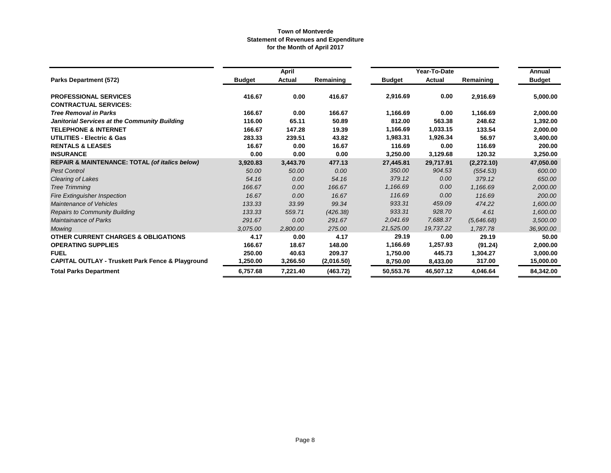|                                                              |               | <b>April</b>  |            |               | Year-To-Date  |            | Annual        |
|--------------------------------------------------------------|---------------|---------------|------------|---------------|---------------|------------|---------------|
| Parks Department (572)                                       | <b>Budget</b> | <b>Actual</b> | Remaining  | <b>Budget</b> | <b>Actual</b> | Remaining  | <b>Budget</b> |
| <b>PROFESSIONAL SERVICES</b>                                 | 416.67        | 0.00          | 416.67     | 2,916.69      | 0.00          | 2,916.69   | 5,000.00      |
| <b>CONTRACTUAL SERVICES:</b>                                 |               |               |            |               |               |            |               |
| <b>Tree Removal in Parks</b>                                 | 166.67        | 0.00          | 166.67     | 1,166.69      | 0.00          | 1,166.69   | 2,000.00      |
| Janitorial Services at the Community Building                | 116.00        | 65.11         | 50.89      | 812.00        | 563.38        | 248.62     | 1,392.00      |
| <b>TELEPHONE &amp; INTERNET</b>                              | 166.67        | 147.28        | 19.39      | 1,166.69      | 1,033.15      | 133.54     | 2,000.00      |
| <b>UTILITIES - Electric &amp; Gas</b>                        | 283.33        | 239.51        | 43.82      | 1,983.31      | 1,926.34      | 56.97      | 3,400.00      |
| <b>RENTALS &amp; LEASES</b>                                  | 16.67         | 0.00          | 16.67      | 116.69        | 0.00          | 116.69     | 200.00        |
| <b>INSURANCE</b>                                             | 0.00          | 0.00          | 0.00       | 3,250.00      | 3,129.68      | 120.32     | 3,250.00      |
| <b>REPAIR &amp; MAINTENANCE: TOTAL (of italics below)</b>    | 3,920.83      | 3,443.70      | 477.13     | 27,445.81     | 29,717.91     | (2,272.10) | 47,050.00     |
| <b>Pest Control</b>                                          | 50.00         | 50.00         | 0.00       | 350.00        | 904.53        | (554.53)   | 600.00        |
| Clearing of Lakes                                            | 54.16         | 0.00          | 54.16      | 379.12        | 0.00          | 379.12     | 650.00        |
| <b>Tree Trimming</b>                                         | 166.67        | 0.00          | 166.67     | 1,166.69      | 0.00          | 1,166.69   | 2,000.00      |
| <b>Fire Extinguisher Inspection</b>                          | 16.67         | 0.00          | 16.67      | 116.69        | 0.00          | 116.69     | 200.00        |
| Maintenance of Vehicles                                      | 133.33        | 33.99         | 99.34      | 933.31        | 459.09        | 474.22     | 1,600.00      |
| <b>Repairs to Community Building</b>                         | 133.33        | 559.71        | (426.38)   | 933.31        | 928.70        | 4.61       | 1,600.00      |
| <b>Maintainance of Parks</b>                                 | 291.67        | 0.00          | 291.67     | 2,041.69      | 7,688.37      | (5,646.68) | 3,500.00      |
| Mowing                                                       | 3,075.00      | 2,800.00      | 275.00     | 21,525.00     | 19,737.22     | 1,787.78   | 36,900.00     |
| <b>OTHER CURRENT CHARGES &amp; OBLIGATIONS</b>               | 4.17          | 0.00          | 4.17       | 29.19         | 0.00          | 29.19      | 50.00         |
| <b>OPERATING SUPPLIES</b>                                    | 166.67        | 18.67         | 148.00     | 1,166.69      | 1,257.93      | (91.24)    | 2,000.00      |
| <b>FUEL</b>                                                  | 250.00        | 40.63         | 209.37     | 1,750.00      | 445.73        | 1,304.27   | 3,000.00      |
| <b>CAPITAL OUTLAY - Truskett Park Fence &amp; Playground</b> | 1.250.00      | 3,266.50      | (2,016.50) | 8,750.00      | 8,433.00      | 317.00     | 15,000.00     |
| <b>Total Parks Department</b>                                | 6,757.68      | 7,221.40      | (463.72)   | 50,553.76     | 46,507.12     | 4,046.64   | 84,342.00     |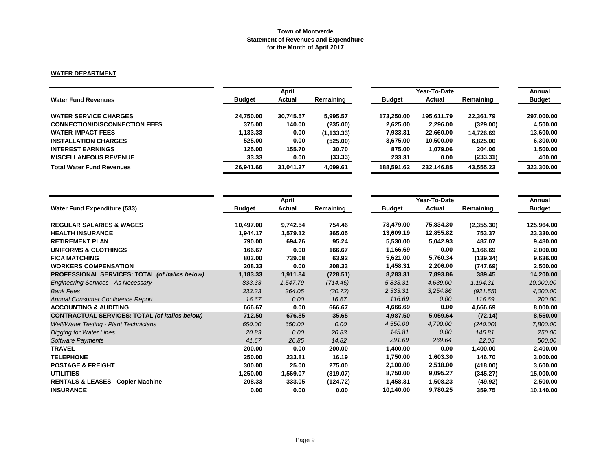## **WATER DEPARTMENT**

|                                      | April         |               |             |               | Annual     |           |               |
|--------------------------------------|---------------|---------------|-------------|---------------|------------|-----------|---------------|
| <b>Water Fund Revenues</b>           | <b>Budget</b> | <b>Actual</b> | Remaining   | <b>Budget</b> | Actual     | Remaining | <b>Budget</b> |
| <b>WATER SERVICE CHARGES</b>         | 24.750.00     | 30.745.57     | 5.995.57    | 173.250.00    | 195,611.79 | 22.361.79 | 297,000.00    |
| <b>CONNECTION/DISCONNECTION FEES</b> | 375.00        | 140.00        | (235.00)    | 2.625.00      | 2,296.00   | (329.00)  | 4.500.00      |
| <b>WATER IMPACT FEES</b>             | 1,133.33      | 0.00          | (1, 133.33) | 7,933.31      | 22,660.00  | 14.726.69 | 13,600.00     |
| <b>INSTALLATION CHARGES</b>          | 525.00        | 0.00          | (525.00)    | 3,675.00      | 10,500.00  | 6.825.00  | 6.300.00      |
| <b>INTEREST EARNINGS</b>             | 125.00        | 155.70        | 30.70       | 875.00        | 1,079.06   | 204.06    | 1,500.00      |
| <b>MISCELLANEOUS REVENUE</b>         | 33.33         | 0.00          | (33.33)     | 233.31        | 0.00       | (233.31)  | 400.00        |
| <b>Total Water Fund Revenues</b>     | 26,941.66     | 31.041.27     | 4,099.61    | 188.591.62    | 232.146.85 | 43,555.23 | 323,300.00    |

|                                                       |               | April    |           |               | Year-To-Date |            | Annual        |
|-------------------------------------------------------|---------------|----------|-----------|---------------|--------------|------------|---------------|
| <b>Water Fund Expenditure (533)</b>                   | <b>Budget</b> | Actual   | Remaining | <b>Budget</b> | Actual       | Remaining  | <b>Budget</b> |
| <b>REGULAR SALARIES &amp; WAGES</b>                   | 10,497.00     | 9,742.54 | 754.46    | 73,479.00     | 75,834.30    | (2,355.30) | 125,964.00    |
| <b>HEALTH INSURANCE</b>                               | 1,944.17      | 1,579.12 | 365.05    | 13,609.19     | 12,855.82    | 753.37     | 23,330.00     |
| <b>RETIREMENT PLAN</b>                                | 790.00        | 694.76   | 95.24     | 5,530.00      | 5,042.93     | 487.07     | 9,480.00      |
| UNIFORMS & CLOTHINGS                                  | 166.67        | 0.00     | 166.67    | 1,166.69      | 0.00         | 1,166.69   | 2,000.00      |
| <b>FICA MATCHING</b>                                  | 803.00        | 739.08   | 63.92     | 5,621.00      | 5,760.34     | (139.34)   | 9,636.00      |
| <b>WORKERS COMPENSATION</b>                           | 208.33        | 0.00     | 208.33    | 1,458.31      | 2,206.00     | (747.69)   | 2,500.00      |
| PROFESSIONAL SERVICES: TOTAL (of italics below)       | 1,183.33      | 1,911.84 | (728.51)  | 8,283.31      | 7,893.86     | 389.45     | 14,200.00     |
| <b>Engineering Services - As Necessary</b>            | 833.33        | 1,547.79 | (714.46)  | 5,833.31      | 4,639.00     | 1,194.31   | 10,000.00     |
| <b>Bank Fees</b>                                      | 333.33        | 364.05   | (30.72)   | 2,333.31      | 3,254.86     | (921.55)   | 4,000.00      |
| Annual Consumer Confidence Report                     | 16.67         | 0.00     | 16.67     | 116.69        | 0.00         | 116.69     | 200.00        |
| <b>ACCOUNTING &amp; AUDITING</b>                      | 666.67        | 0.00     | 666.67    | 4,666.69      | 0.00         | 4,666.69   | 8,000.00      |
| <b>CONTRACTUAL SERVICES: TOTAL (of italics below)</b> | 712.50        | 676.85   | 35.65     | 4,987.50      | 5,059.64     | (72.14)    | 8,550.00      |
| <b>Well/Water Testing - Plant Technicians</b>         | 650.00        | 650.00   | 0.00      | 4,550.00      | 4,790.00     | (240.00)   | 7,800.00      |
| Digging for Water Lines                               | 20.83         | 0.00     | 20.83     | 145.81        | 0.00         | 145.81     | 250.00        |
| Software Payments                                     | 41.67         | 26.85    | 14.82     | 291.69        | 269.64       | 22.05      | 500.00        |
| <b>TRAVEL</b>                                         | 200.00        | 0.00     | 200.00    | 1,400.00      | 0.00         | 1,400.00   | 2,400.00      |
| <b>TELEPHONE</b>                                      | 250.00        | 233.81   | 16.19     | 1,750.00      | 1,603.30     | 146.70     | 3,000.00      |
| <b>POSTAGE &amp; FREIGHT</b>                          | 300.00        | 25.00    | 275.00    | 2,100.00      | 2,518.00     | (418.00)   | 3,600.00      |
| <b>UTILITIES</b>                                      | 1,250.00      | 1,569.07 | (319.07)  | 8,750.00      | 9,095.27     | (345.27)   | 15,000.00     |
| <b>RENTALS &amp; LEASES - Copier Machine</b>          | 208.33        | 333.05   | (124.72)  | 1,458.31      | 1,508.23     | (49.92)    | 2,500.00      |
| <b>INSURANCE</b>                                      | 0.00          | 0.00     | 0.00      | 10,140.00     | 9,780.25     | 359.75     | 10,140.00     |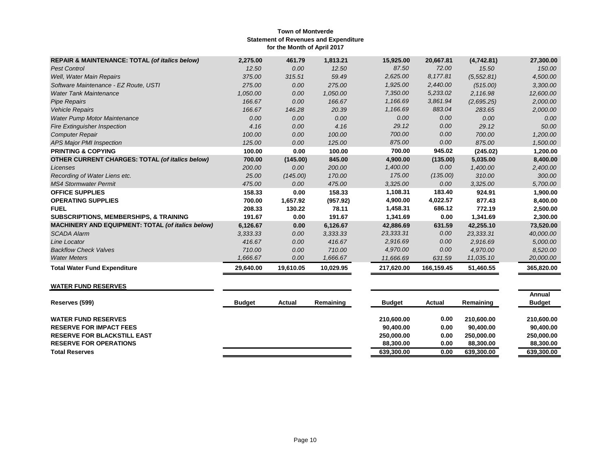| <b>REPAIR &amp; MAINTENANCE: TOTAL (of italics below)</b> | 2,275.00  | 461.79    | 1,813.21  | 15,925.00  | 20,667.81  | (4,742.81)  | 27,300.00  |
|-----------------------------------------------------------|-----------|-----------|-----------|------------|------------|-------------|------------|
| <b>Pest Control</b>                                       | 12.50     | 0.00      | 12.50     | 87.50      | 72.00      | 15.50       | 150.00     |
| Well, Water Main Repairs                                  | 375.00    | 315.51    | 59.49     | 2,625.00   | 8.177.81   | (5, 552.81) | 4,500.00   |
| Software Maintenance - EZ Route, USTI                     | 275.00    | 0.00      | 275.00    | 1,925.00   | 2,440.00   | (515.00)    | 3,300.00   |
| <b>Water Tank Maintenance</b>                             | 1,050.00  | 0.00      | 1,050.00  | 7,350.00   | 5,233.02   | 2.116.98    | 12,600.00  |
| <b>Pipe Repairs</b>                                       | 166.67    | 0.00      | 166.67    | 1,166.69   | 3,861.94   | (2,695.25)  | 2,000.00   |
| <b>Vehicle Repairs</b>                                    | 166.67    | 146.28    | 20.39     | 1,166.69   | 883.04     | 283.65      | 2,000.00   |
| <b>Water Pump Motor Maintenance</b>                       | 0.00      | 0.00      | 0.00      | 0.00       | 0.00       | 0.00        | 0.00       |
| <b>Fire Extinguisher Inspection</b>                       | 4.16      | 0.00      | 4.16      | 29.12      | 0.00       | 29.12       | 50.00      |
| <b>Computer Repair</b>                                    | 100.00    | 0.00      | 100.00    | 700.00     | 0.00       | 700.00      | 1,200.00   |
| APS Major PMI Inspection                                  | 125.00    | 0.00      | 125.00    | 875.00     | 0.00       | 875.00      | 1,500.00   |
| <b>PRINTING &amp; COPYING</b>                             | 100.00    | 0.00      | 100.00    | 700.00     | 945.02     | (245.02)    | 1,200.00   |
| <b>OTHER CURRENT CHARGES: TOTAL (of italics below)</b>    | 700.00    | (145.00)  | 845.00    | 4,900.00   | (135.00)   | 5,035.00    | 8,400.00   |
| Licenses                                                  | 200.00    | 0.00      | 200.00    | 1,400.00   | 0.00       | 1,400.00    | 2,400.00   |
| Recording of Water Liens etc.                             | 25.00     | (145.00)  | 170.00    | 175.00     | (135.00)   | 310.00      | 300.00     |
| <b>MS4 Stormwater Permit</b>                              | 475.00    | 0.00      | 475.00    | 3,325.00   | 0.00       | 3,325.00    | 5,700.00   |
| <b>OFFICE SUPPLIES</b>                                    | 158.33    | 0.00      | 158.33    | 1,108.31   | 183.40     | 924.91      | 1,900.00   |
| <b>OPERATING SUPPLIES</b>                                 | 700.00    | 1,657.92  | (957.92)  | 4,900.00   | 4,022.57   | 877.43      | 8,400.00   |
| <b>FUEL</b>                                               | 208.33    | 130.22    | 78.11     | 1,458.31   | 686.12     | 772.19      | 2,500.00   |
| <b>SUBSCRIPTIONS, MEMBERSHIPS, &amp; TRAINING</b>         | 191.67    | 0.00      | 191.67    | 1,341.69   | 0.00       | 1,341.69    | 2,300.00   |
| <b>MACHINERY AND EQUIPMENT: TOTAL (of italics below)</b>  | 6,126.67  | 0.00      | 6,126.67  | 42,886.69  | 631.59     | 42,255.10   | 73,520.00  |
| <b>SCADA Alarm</b>                                        | 3.333.33  | 0.00      | 3,333.33  | 23,333.31  | 0.00       | 23,333.31   | 40,000.00  |
| Line Locator                                              | 416.67    | 0.00      | 416.67    | 2,916.69   | 0.00       | 2,916.69    | 5,000.00   |
| <b>Backflow Check Valves</b>                              | 710.00    | 0.00      | 710.00    | 4,970.00   | 0.00       | 4,970.00    | 8,520.00   |
| <b>Water Meters</b>                                       | 1,666.67  | 0.00      | 1,666.67  | 11,666.69  | 631.59     | 11,035.10   | 20,000.00  |
| <b>Total Water Fund Expenditure</b>                       | 29,640.00 | 19,610.05 | 10,029.95 | 217,620.00 | 166,159.45 | 51,460.55   | 365,820.00 |

# **WATER FUND RESERVES**

| Reserves (599)                     | <b>Budget</b> | Actual | Remaining | <b>Budget</b> | Actual | Remaining  | Annual<br><b>Budget</b> |
|------------------------------------|---------------|--------|-----------|---------------|--------|------------|-------------------------|
| <b>WATER FUND RESERVES</b>         |               |        |           | 210.600.00    | 0.00   | 210.600.00 | 210.600.00              |
| <b>RESERVE FOR IMPACT FEES</b>     |               |        |           | 90.400.00     | 0.00   | 90.400.00  | 90,400.00               |
| <b>RESERVE FOR BLACKSTILL EAST</b> |               |        |           | 250.000.00    | 0.00   | 250.000.00 | 250.000.00              |
| <b>RESERVE FOR OPERATIONS</b>      |               |        |           | 88.300.00     | 0.00   | 88.300.00  | 88,300,00               |
| <b>Total Reserves</b>              |               |        |           | 639.300.00    | 0.00   | 639,300.00 | 639,300.00              |
|                                    |               |        |           |               |        |            |                         |